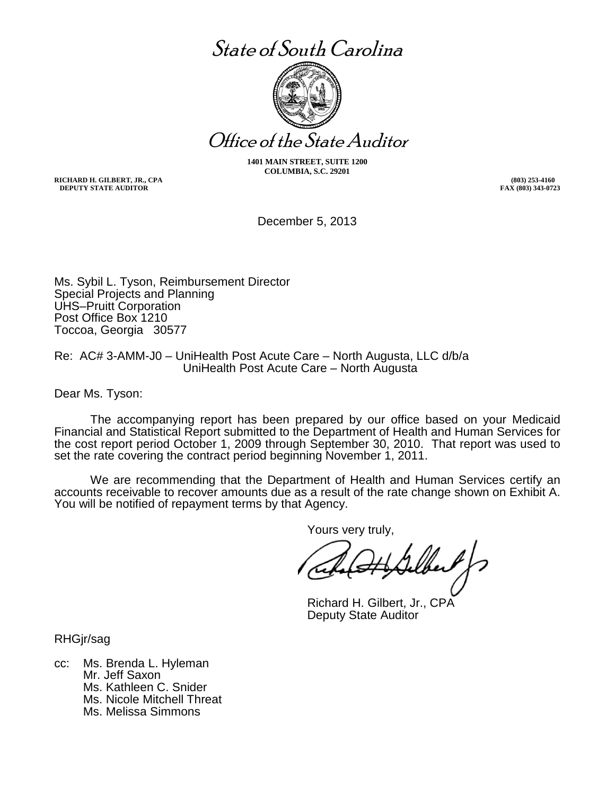# State of South Carolina



Office of the State Auditor

**1401 MAIN STREET, SUITE 1200 COLUMBIA, S.C. 29201**

**RICHARD H. GILBERT, JR., CPA (803) 253-4160 DEPUTY STATE AUDITOR** 

December 5, 2013

Ms. Sybil L. Tyson, Reimbursement Director Special Projects and Planning UHS–Pruitt Corporation Post Office Box 1210 Toccoa, Georgia 30577

Re: AC# 3-AMM-J0 – UniHealth Post Acute Care – North Augusta, LLC d/b/a UniHealth Post Acute Care – North Augusta

Dear Ms. Tyson:

The accompanying report has been prepared by our office based on your Medicaid Financial and Statistical Report submitted to the Department of Health and Human Services for the cost report period October 1, 2009 through September 30, 2010. That report was used to set the rate covering the contract period beginning November 1, 2011.

We are recommending that the Department of Health and Human Services certify an accounts receivable to recover amounts due as a result of the rate change shown on Exhibit A. You will be notified of repayment terms by that Agency.

Yours very truly,

Richard H. Gilbert, Jr., CPA Deputy State Auditor

RHGjr/sag

cc: Ms. Brenda L. Hyleman Mr. Jeff Saxon Ms. Kathleen C. Snider Ms. Nicole Mitchell Threat Ms. Melissa Simmons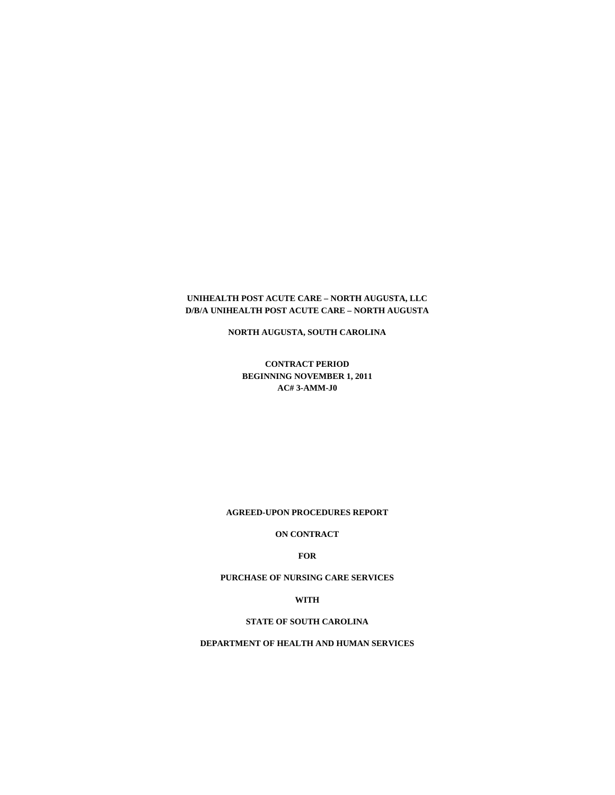#### **UNIHEALTH POST ACUTE CARE – NORTH AUGUSTA, LLC D/B/A UNIHEALTH POST ACUTE CARE – NORTH AUGUSTA**

**NORTH AUGUSTA, SOUTH CAROLINA**

**CONTRACT PERIOD BEGINNING NOVEMBER 1, 2011 AC# 3-AMM-J0**

**AGREED-UPON PROCEDURES REPORT**

**ON CONTRACT**

**FOR**

**PURCHASE OF NURSING CARE SERVICES**

**WITH**

**STATE OF SOUTH CAROLINA**

**DEPARTMENT OF HEALTH AND HUMAN SERVICES**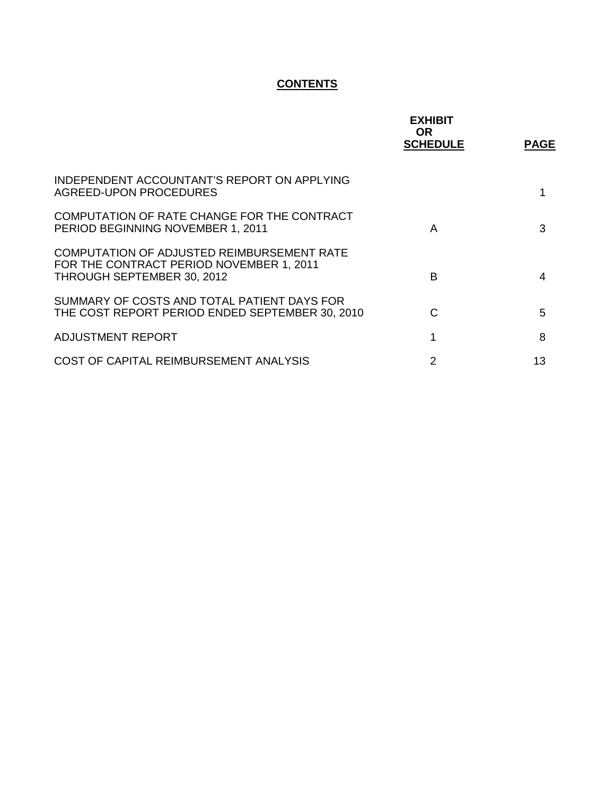## **CONTENTS**

|                                                                                                                      | <b>EXHIBIT</b><br>OR.<br><b>SCHEDULE</b> | <b>PAGE</b> |
|----------------------------------------------------------------------------------------------------------------------|------------------------------------------|-------------|
| INDEPENDENT ACCOUNTANT'S REPORT ON APPLYING<br>AGREED-UPON PROCEDURES                                                |                                          | 1           |
| COMPUTATION OF RATE CHANGE FOR THE CONTRACT<br>PERIOD BEGINNING NOVEMBER 1, 2011                                     | A                                        | 3           |
| COMPUTATION OF ADJUSTED REIMBURSEMENT RATE<br>FOR THE CONTRACT PERIOD NOVEMBER 1, 2011<br>THROUGH SEPTEMBER 30, 2012 | B                                        | 4           |
| SUMMARY OF COSTS AND TOTAL PATIENT DAYS FOR<br>THE COST REPORT PERIOD ENDED SEPTEMBER 30, 2010                       | C                                        | 5           |
| ADJUSTMENT REPORT                                                                                                    | 1                                        | 8           |
| COST OF CAPITAL REIMBURSEMENT ANALYSIS                                                                               | 2                                        | 13          |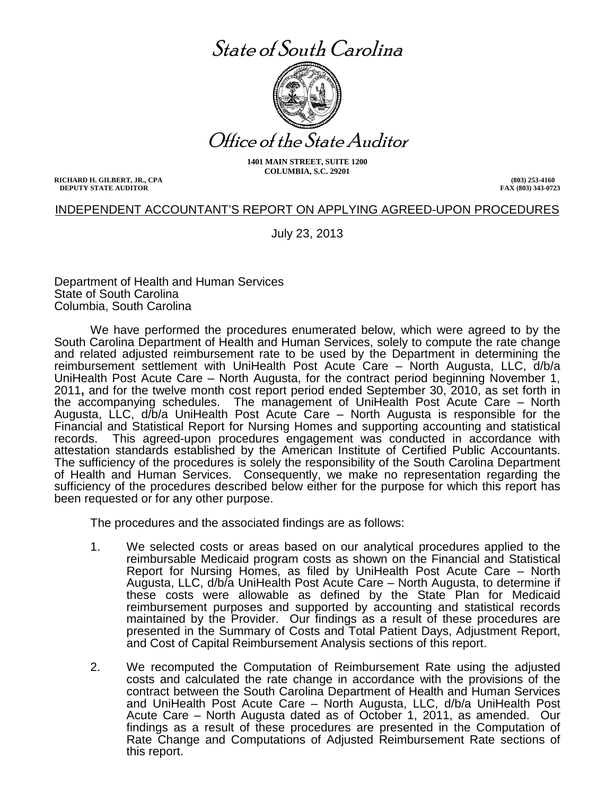# State of South Carolina



Office of the State Auditor

**1401 MAIN STREET, SUITE 1200 COLUMBIA, S.C. 29201**

**RICHARD H. GILBERT, JR., CPA (803) 253-4160 DEPUTY STATE AUDITOR** 

### INDEPENDENT ACCOUNTANT'S REPORT ON APPLYING AGREED-UPON PROCEDURES

July 23, 2013

Department of Health and Human Services State of South Carolina Columbia, South Carolina

We have performed the procedures enumerated below, which were agreed to by the South Carolina Department of Health and Human Services, solely to compute the rate change and related adjusted reimbursement rate to be used by the Department in determining the reimbursement settlement with UniHealth Post Acute Care – North Augusta, LLC, d/b/a UniHealth Post Acute Care – North Augusta, for the contract period beginning November 1, 2011**,** and for the twelve month cost report period ended September 30, 2010, as set forth in the accompanying schedules. The management of UniHealth Post Acute Care – North Augusta, LLC, d/b/a UniHealth Post Acute Care – North Augusta is responsible for the Financial and Statistical Report for Nursing Homes and supporting accounting and statistical records. This agreed-upon procedures engagement was conducted in accordance with attestation standards established by the American Institute of Certified Public Accountants. The sufficiency of the procedures is solely the responsibility of the South Carolina Department of Health and Human Services. Consequently, we make no representation regarding the sufficiency of the procedures described below either for the purpose for which this report has been requested or for any other purpose.

The procedures and the associated findings are as follows:

- 1. We selected costs or areas based on our analytical procedures applied to the reimbursable Medicaid program costs as shown on the Financial and Statistical Report for Nursing Homes, as filed by UniHealth Post Acute Care – North Augusta, LLC, d/b/a UniHealth Post Acute Care – North Augusta, to determine if these costs were allowable as defined by the State Plan for Medicaid reimbursement purposes and supported by accounting and statistical records maintained by the Provider. Our findings as a result of these procedures are presented in the Summary of Costs and Total Patient Days, Adjustment Report, and Cost of Capital Reimbursement Analysis sections of this report.
- 2. We recomputed the Computation of Reimbursement Rate using the adjusted costs and calculated the rate change in accordance with the provisions of the contract between the South Carolina Department of Health and Human Services and UniHealth Post Acute Care – North Augusta, LLC, d/b/a UniHealth Post Acute Care – North Augusta dated as of October 1, 2011, as amended. Our findings as a result of these procedures are presented in the Computation of Rate Change and Computations of Adjusted Reimbursement Rate sections of this report.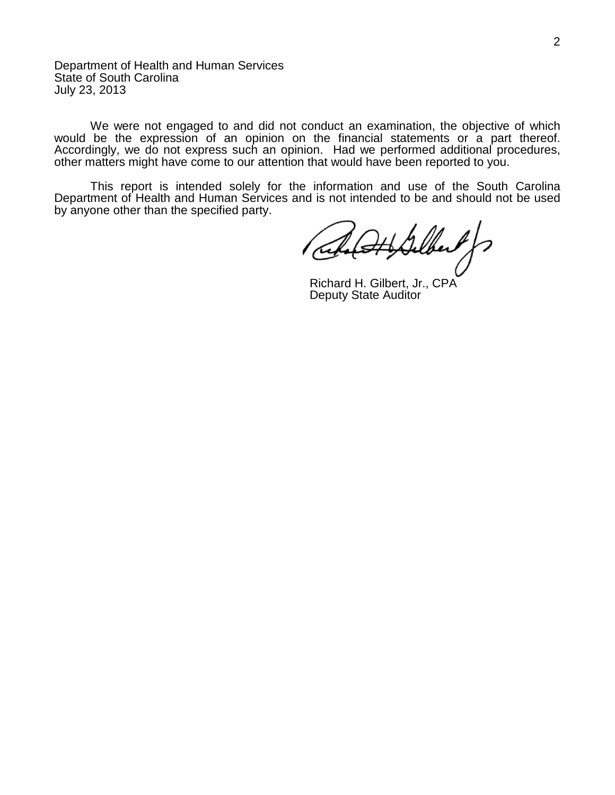Department of Health and Human Services State of South Carolina July 23, 2013

We were not engaged to and did not conduct an examination, the objective of which would be the expression of an opinion on the financial statements or a part thereof. Accordingly, we do not express such an opinion. Had we performed additional procedures, other matters might have come to our attention that would have been reported to you.

This report is intended solely for the information and use of the South Carolina Department of Health and Human Services and is not intended to be and should not be used by anyone other than the specified party.

Richard H. Gilbert, Jr., CPA Deputy State Auditor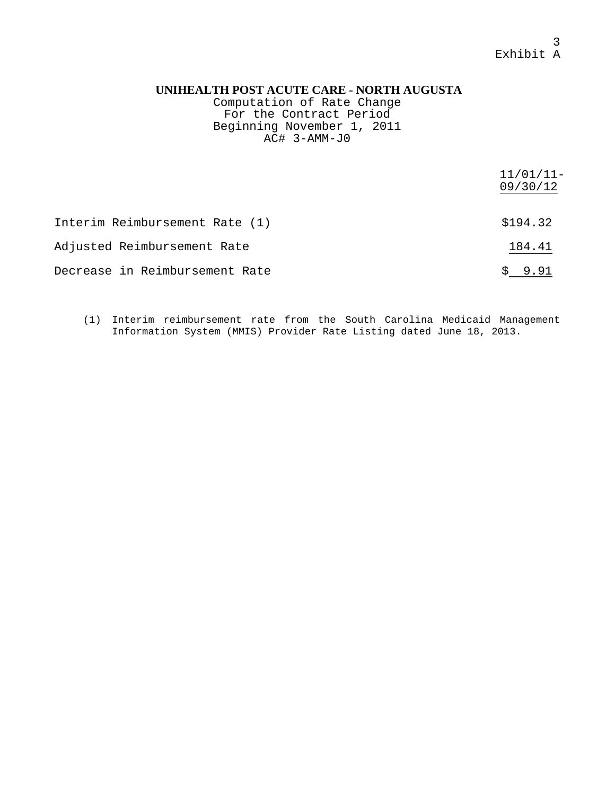#### 3 Exhibit A

#### **UNIHEALTH POST ACUTE CARE - NORTH AUGUSTA**

Computation of Rate Change For the Contract Period Beginning November 1, 2011  $AC#$  3-AMM-J0

|                                | $11/01/11-$<br>09/30/12 |
|--------------------------------|-------------------------|
| Interim Reimbursement Rate (1) | \$194.32                |
| Adjusted Reimbursement Rate    | 184.41                  |
| Decrease in Reimbursement Rate | \$9.91                  |

(1) Interim reimbursement rate from the South Carolina Medicaid Management Information System (MMIS) Provider Rate Listing dated June 18, 2013.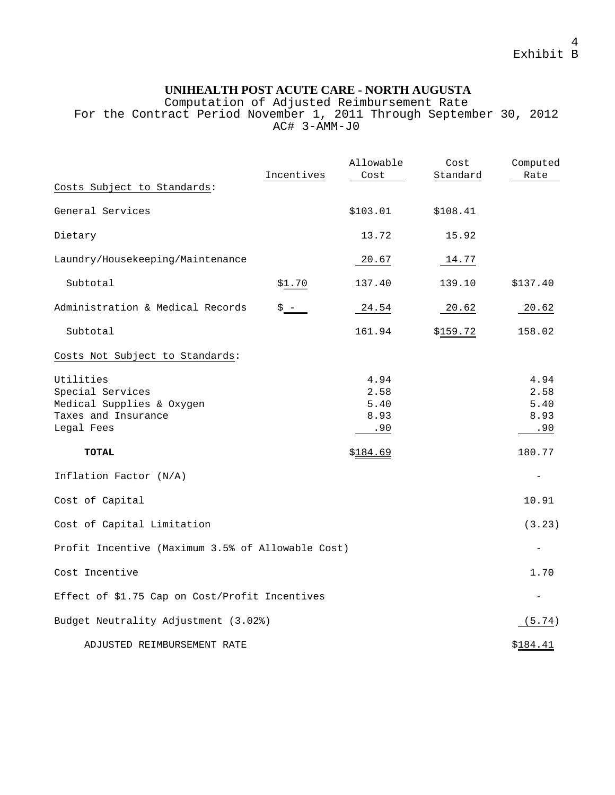Computation of Adjusted Reimbursement Rate For the Contract Period November 1, 2011 Through September 30, 2012  $AC#$  3-AMM-J0

|                                                                                                 | Incentives    | Allowable<br>Cost                   | Cost<br>Standard | Computed<br>Rate                    |
|-------------------------------------------------------------------------------------------------|---------------|-------------------------------------|------------------|-------------------------------------|
| Costs Subject to Standards:                                                                     |               |                                     |                  |                                     |
| General Services                                                                                |               | \$103.01                            | \$108.41         |                                     |
| Dietary                                                                                         |               | 13.72                               | 15.92            |                                     |
| Laundry/Housekeeping/Maintenance                                                                |               | 20.67                               | 14.77            |                                     |
| Subtotal                                                                                        | <u>\$1.70</u> | 137.40                              | 139.10           | \$137.40                            |
| Administration & Medical Records                                                                | $$ -$         | 24.54                               | 20.62            | 20.62                               |
| Subtotal                                                                                        |               | 161.94                              | \$159.72         | 158.02                              |
| Costs Not Subject to Standards:                                                                 |               |                                     |                  |                                     |
| Utilities<br>Special Services<br>Medical Supplies & Oxygen<br>Taxes and Insurance<br>Legal Fees |               | 4.94<br>2.58<br>5.40<br>8.93<br>.90 |                  | 4.94<br>2.58<br>5.40<br>8.93<br>.90 |
| <b>TOTAL</b>                                                                                    |               | \$184.69                            |                  | 180.77                              |
| Inflation Factor (N/A)                                                                          |               |                                     |                  |                                     |
| Cost of Capital                                                                                 |               |                                     |                  | 10.91                               |
| Cost of Capital Limitation                                                                      |               |                                     |                  | (3.23)                              |
| Profit Incentive (Maximum 3.5% of Allowable Cost)                                               |               |                                     |                  |                                     |
| Cost Incentive                                                                                  |               |                                     |                  | 1.70                                |
| Effect of \$1.75 Cap on Cost/Profit Incentives                                                  |               |                                     |                  | $\overline{\phantom{0}}$            |
| Budget Neutrality Adjustment (3.02%)                                                            |               |                                     |                  | (5.74)                              |
| ADJUSTED REIMBURSEMENT RATE                                                                     |               |                                     |                  | \$184.41                            |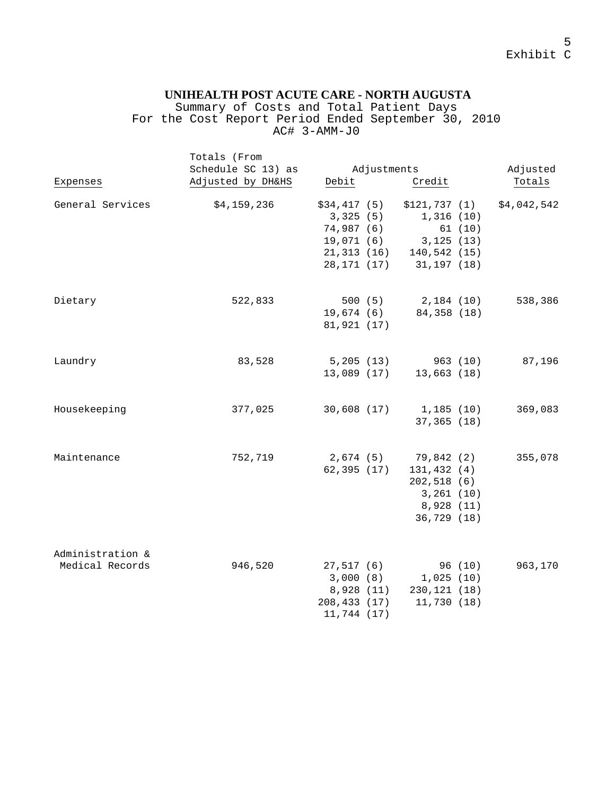Summary of Costs and Total Patient Days For the Cost Report Period Ended September 30, 2010 AC# 3-AMM-J0

|                                     | Totals (From<br>Schedule SC 13) as | Adjustments                                                                        |                                                                                              | Adjusted    |
|-------------------------------------|------------------------------------|------------------------------------------------------------------------------------|----------------------------------------------------------------------------------------------|-------------|
| Expenses                            | Adjusted by DH&HS                  | Debit                                                                              | Credit                                                                                       | Totals      |
| General Services                    | \$4,159,236                        | \$34,417(5)<br>3,325(5)<br>74,987 (6)<br>19,071 (6)<br>21,313 (16)<br>28, 171 (17) | \$121,737(1)<br>1,316(10)<br>61 (10)<br>3,125(13)<br>140,542 (15)<br>31,197 (18)             | \$4,042,542 |
| Dietary                             | 522,833                            | 500(5)<br>19,674 (6)<br>81,921 (17)                                                | 2,184 (10)<br>84,358 (18)                                                                    | 538,386     |
| Laundry                             | 83,528                             | 5,205(13)<br>13,089 (17)                                                           | 963 (10)<br>13,663(18)                                                                       | 87,196      |
| Housekeeping                        | 377,025                            | 30,608(17)                                                                         | 1,185 (10)<br>37,365 (18)                                                                    | 369,083     |
| Maintenance                         | 752,719                            | 62,395(17)                                                                         | 2,674 (5) 79,842 (2)<br>131,432 (4)<br>202,518 (6)<br>3,261(10)<br>8,928 (11)<br>36,729 (18) | 355,078     |
| Administration &<br>Medical Records | 946,520                            | 27,517(6)<br>3,000(8)<br>8,928 (11)<br>208,433 (17)<br>11,744 (17)                 | 96 (10)<br>1,025(10)<br>230,121 (18)<br>11,730 (18)                                          | 963,170     |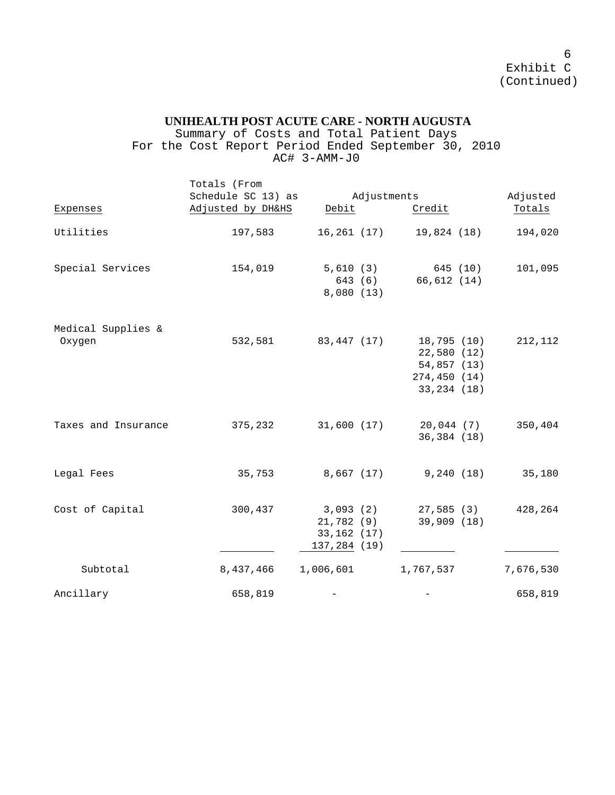Summary of Costs and Total Patient Days For the Cost Report Period Ended September 30, 2010 AC# 3-AMM-J0

|                              | Totals (From<br>Schedule SC 13) as |                                                       |                                                                           |                       |                                       |  |
|------------------------------|------------------------------------|-------------------------------------------------------|---------------------------------------------------------------------------|-----------------------|---------------------------------------|--|
| Expenses                     | Adjusted by DH&HS                  |                                                       | Adjustments                                                               |                       | Adjusted<br>Debit<br>Credit<br>Totals |  |
| Utilities                    | 197,583                            | 16, 261 (17)                                          | 19,824 (18)                                                               | 194,020               |                                       |  |
| Special Services             | 154,019                            | 5,610(3)<br>643 (6)<br>8,080 (13)                     | 66,612 (14)                                                               | 645 (10)<br>101,095   |                                       |  |
| Medical Supplies &<br>Oxygen | 532,581                            | 83,447 (17)                                           | 18,795 (10)<br>22,580 (12)<br>54,857 (13)<br>274,450 (14)<br>33, 234 (18) | 212,112               |                                       |  |
| Taxes and Insurance          | 375,232                            | 31,600 (17)                                           | 36,384 (18)                                                               | 20,044 (7)<br>350,404 |                                       |  |
| Legal Fees                   | 35,753                             | 8,667 (17)                                            | 9,240 (18)                                                                | 35,180                |                                       |  |
| Cost of Capital              | 300,437                            | 3,093(2)<br>21,782 (9)<br>33,162 (17)<br>137,284 (19) | 27,585 (3)<br>39,909 (18)                                                 | 428,264               |                                       |  |
| Subtotal                     | 8,437,466                          | 1,006,601                                             | 1,767,537                                                                 | 7,676,530             |                                       |  |
| Ancillary                    | 658,819                            |                                                       |                                                                           | 658,819               |                                       |  |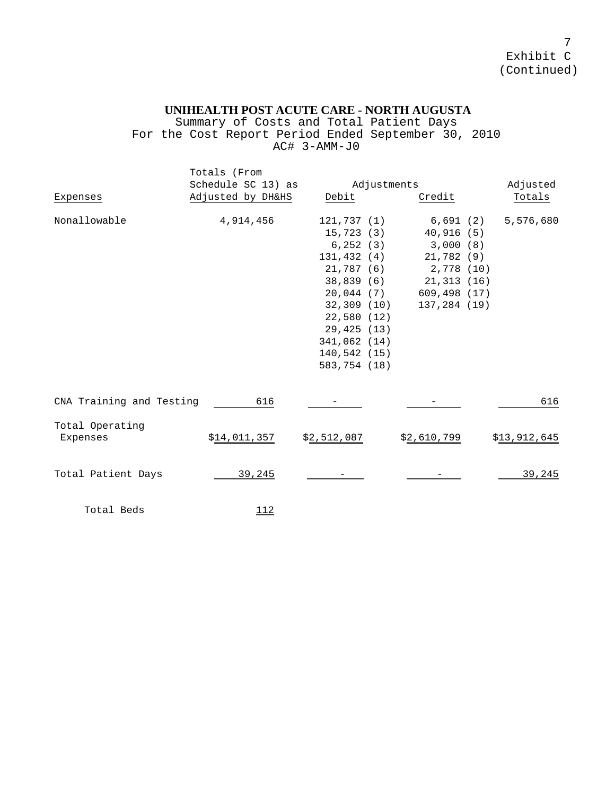Summary of Costs and Total Patient Days For the Cost Report Period Ended September 30, 2010 AC# 3-AMM-J0

|                             | Totals (From       |              |             |              |              |
|-----------------------------|--------------------|--------------|-------------|--------------|--------------|
|                             | Schedule SC 13) as |              | Adjustments |              | Adjusted     |
| Expenses                    | Adjusted by DH&HS  | Debit        |             | Credit       | Totals       |
| Nonallowable                | 4,914,456          | 121,737 (1)  |             | 6,691 (2)    | 5,576,680    |
|                             |                    | 15,723 (3)   |             | 40,916 (5)   |              |
|                             |                    | 6,252(3)     |             | 3,000(8)     |              |
|                             |                    | 131,432 (4)  |             | 21,782(9)    |              |
|                             |                    | 21,787 (6)   |             | 2,778 (10)   |              |
|                             |                    | 38,839 (6)   |             | 21,313 (16)  |              |
|                             |                    | 20,044 (7)   |             | 609,498 (17) |              |
|                             |                    | 32,309 (10)  |             | 137,284 (19) |              |
|                             |                    | 22,580(12)   |             |              |              |
|                             |                    | 29,425 (13)  |             |              |              |
|                             |                    | 341,062 (14) |             |              |              |
|                             |                    | 140,542(15)  |             |              |              |
|                             |                    | 583,754 (18) |             |              |              |
| CNA Training and Testing    | 616                |              |             |              | 616          |
|                             |                    |              |             |              |              |
| Total Operating<br>Expenses | \$14,011,357       | \$2,512,087  |             | \$2,610,799  | \$13,912,645 |
| Total Patient Days          | 39,245             |              |             |              | 39,245       |
| Total Beds                  | <u> 112</u>        |              |             |              |              |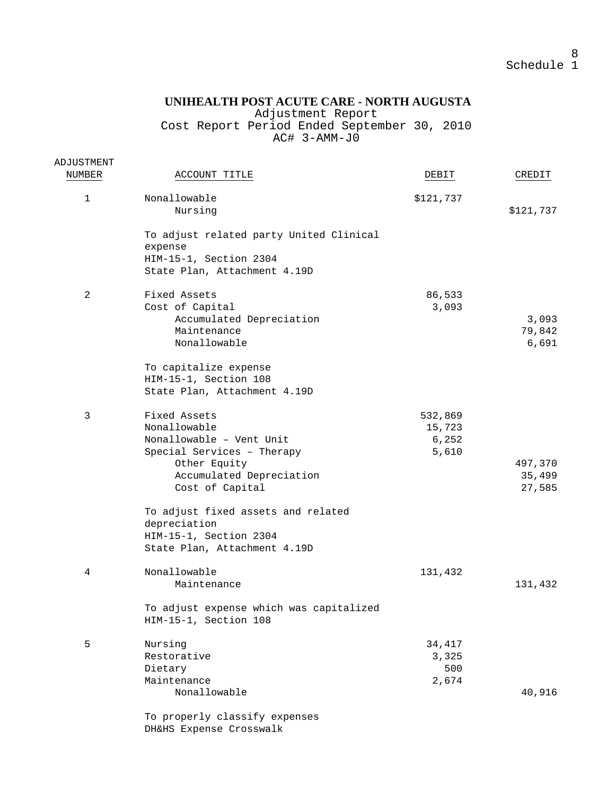Adjustment Report

Cost Report Period Ended September 30, 2010 AC# 3-AMM-J0

| ACCOUNT TITLE                           | DEBIT                                                                                                                                                                                                                                                                                                                                              | CREDIT                                                                                   |
|-----------------------------------------|----------------------------------------------------------------------------------------------------------------------------------------------------------------------------------------------------------------------------------------------------------------------------------------------------------------------------------------------------|------------------------------------------------------------------------------------------|
|                                         |                                                                                                                                                                                                                                                                                                                                                    |                                                                                          |
|                                         |                                                                                                                                                                                                                                                                                                                                                    |                                                                                          |
|                                         |                                                                                                                                                                                                                                                                                                                                                    | \$121,737                                                                                |
| To adjust related party United Clinical |                                                                                                                                                                                                                                                                                                                                                    |                                                                                          |
| expense                                 |                                                                                                                                                                                                                                                                                                                                                    |                                                                                          |
| HIM-15-1, Section 2304                  |                                                                                                                                                                                                                                                                                                                                                    |                                                                                          |
|                                         |                                                                                                                                                                                                                                                                                                                                                    |                                                                                          |
| Fixed Assets                            |                                                                                                                                                                                                                                                                                                                                                    |                                                                                          |
|                                         |                                                                                                                                                                                                                                                                                                                                                    |                                                                                          |
| Accumulated Depreciation                |                                                                                                                                                                                                                                                                                                                                                    | 3,093                                                                                    |
| Maintenance                             |                                                                                                                                                                                                                                                                                                                                                    | 79,842                                                                                   |
| Nonallowable                            |                                                                                                                                                                                                                                                                                                                                                    | 6,691                                                                                    |
|                                         |                                                                                                                                                                                                                                                                                                                                                    |                                                                                          |
|                                         |                                                                                                                                                                                                                                                                                                                                                    |                                                                                          |
| State Plan, Attachment 4.19D            |                                                                                                                                                                                                                                                                                                                                                    |                                                                                          |
|                                         |                                                                                                                                                                                                                                                                                                                                                    |                                                                                          |
|                                         |                                                                                                                                                                                                                                                                                                                                                    |                                                                                          |
|                                         |                                                                                                                                                                                                                                                                                                                                                    |                                                                                          |
|                                         |                                                                                                                                                                                                                                                                                                                                                    |                                                                                          |
| Other Equity                            |                                                                                                                                                                                                                                                                                                                                                    | 497,370                                                                                  |
| Accumulated Depreciation                |                                                                                                                                                                                                                                                                                                                                                    | 35,499                                                                                   |
| Cost of Capital                         |                                                                                                                                                                                                                                                                                                                                                    | 27,585                                                                                   |
|                                         |                                                                                                                                                                                                                                                                                                                                                    |                                                                                          |
|                                         |                                                                                                                                                                                                                                                                                                                                                    |                                                                                          |
| HIM-15-1, Section 2304                  |                                                                                                                                                                                                                                                                                                                                                    |                                                                                          |
| State Plan, Attachment 4.19D            |                                                                                                                                                                                                                                                                                                                                                    |                                                                                          |
|                                         |                                                                                                                                                                                                                                                                                                                                                    |                                                                                          |
| Maintenance                             |                                                                                                                                                                                                                                                                                                                                                    | 131,432                                                                                  |
|                                         |                                                                                                                                                                                                                                                                                                                                                    |                                                                                          |
| HIM-15-1, Section 108                   |                                                                                                                                                                                                                                                                                                                                                    |                                                                                          |
|                                         |                                                                                                                                                                                                                                                                                                                                                    |                                                                                          |
| Restorative                             | 3,325                                                                                                                                                                                                                                                                                                                                              |                                                                                          |
| Dietary                                 | 500                                                                                                                                                                                                                                                                                                                                                |                                                                                          |
| Maintenance                             | 2,674                                                                                                                                                                                                                                                                                                                                              |                                                                                          |
| Nonallowable                            |                                                                                                                                                                                                                                                                                                                                                    | 40,916                                                                                   |
| To properly classify expenses           |                                                                                                                                                                                                                                                                                                                                                    |                                                                                          |
|                                         | Nonallowable<br>Nursing<br>State Plan, Attachment 4.19D<br>Cost of Capital<br>To capitalize expense<br>HIM-15-1, Section 108<br>Fixed Assets<br>Nonallowable<br>Nonallowable - Vent Unit<br>Special Services - Therapy<br>To adjust fixed assets and related<br>depreciation<br>Nonallowable<br>To adjust expense which was capitalized<br>Nursing | \$121,737<br>86,533<br>3,093<br>532,869<br>15,723<br>6,252<br>5,610<br>131,432<br>34,417 |

DH&HS Expense Crosswalk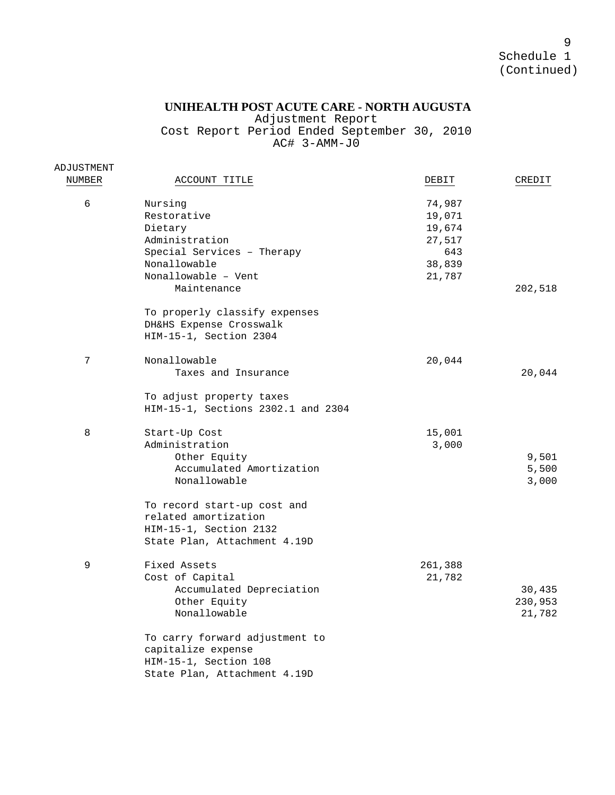## **UNIHEALTH POST ACUTE CARE - NORTH AUGUSTA**

Adjustment Report

Cost Report Period Ended September 30, 2010 AC# 3-AMM-J0

ADJUSTMENT

| NUMBER | ACCOUNT TITLE                                                                                                                     | DEBIT                                                           | CREDIT                      |
|--------|-----------------------------------------------------------------------------------------------------------------------------------|-----------------------------------------------------------------|-----------------------------|
| 6      | Nursing<br>Restorative<br>Dietary<br>Administration<br>Special Services - Therapy<br>Nonallowable<br>Nonallowable - Vent          | 74,987<br>19,071<br>19,674<br>27,517<br>643<br>38,839<br>21,787 |                             |
|        | Maintenance<br>To properly classify expenses<br>DH&HS Expense Crosswalk<br>HIM-15-1, Section 2304                                 |                                                                 | 202,518                     |
| 7      | Nonallowable<br>Taxes and Insurance<br>To adjust property taxes                                                                   | 20,044                                                          | 20,044                      |
| 8      | HIM-15-1, Sections 2302.1 and 2304<br>Start-Up Cost<br>Administration<br>Other Equity<br>Accumulated Amortization<br>Nonallowable | 15,001<br>3,000                                                 | 9,501<br>5,500<br>3,000     |
|        | To record start-up cost and<br>related amortization<br>HIM-15-1, Section 2132<br>State Plan, Attachment 4.19D                     |                                                                 |                             |
| 9      | Fixed Assets<br>Cost of Capital<br>Accumulated Depreciation<br>Other Equity<br>Nonallowable                                       | 261,388<br>21,782                                               | 30,435<br>230,953<br>21,782 |
|        | To carry forward adjustment to<br>capitalize expense<br>HIM-15-1, Section 108<br>State Plan, Attachment 4.19D                     |                                                                 |                             |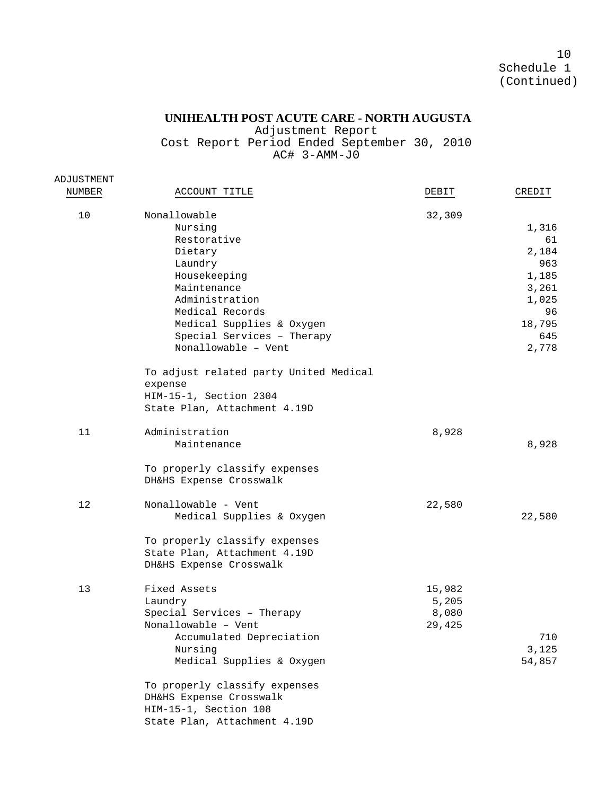## **UNIHEALTH POST ACUTE CARE - NORTH AUGUSTA**

Adjustment Report Cost Report Period Ended September 30, 2010 AC# 3-AMM-J0

| ADJUSTMENT |                                                                                                                                                                                                                    |                                    |                                                                                        |
|------------|--------------------------------------------------------------------------------------------------------------------------------------------------------------------------------------------------------------------|------------------------------------|----------------------------------------------------------------------------------------|
| NUMBER     | ACCOUNT TITLE                                                                                                                                                                                                      | DEBIT                              | CREDIT                                                                                 |
| 10         | Nonallowable<br>Nursing<br>Restorative<br>Dietary<br>Laundry<br>Housekeeping<br>Maintenance<br>Administration<br>Medical Records<br>Medical Supplies & Oxygen<br>Special Services - Therapy<br>Nonallowable - Vent | 32,309                             | 1,316<br>61<br>2,184<br>963<br>1,185<br>3,261<br>1,025<br>96<br>18,795<br>645<br>2,778 |
|            | To adjust related party United Medical<br>expense<br>HIM-15-1, Section 2304<br>State Plan, Attachment 4.19D                                                                                                        |                                    |                                                                                        |
| 11         | Administration<br>Maintenance<br>To properly classify expenses                                                                                                                                                     | 8,928                              | 8,928                                                                                  |
|            | DH&HS Expense Crosswalk                                                                                                                                                                                            |                                    |                                                                                        |
| 12         | Nonallowable - Vent<br>Medical Supplies & Oxygen<br>To properly classify expenses<br>State Plan, Attachment 4.19D<br>DH&HS Expense Crosswalk                                                                       | 22,580                             | 22,580                                                                                 |
| 13         | Fixed Assets<br>Laundry<br>Special Services - Therapy<br>Nonallowable - Vent<br>Accumulated Depreciation<br>Nursing<br>Medical Supplies & Oxygen                                                                   | 15,982<br>5,205<br>8,080<br>29,425 | 710<br>3,125<br>54,857                                                                 |
|            | To properly classify expenses<br>DH&HS Expense Crosswalk<br>HIM-15-1, Section 108<br>State Plan, Attachment 4.19D                                                                                                  |                                    |                                                                                        |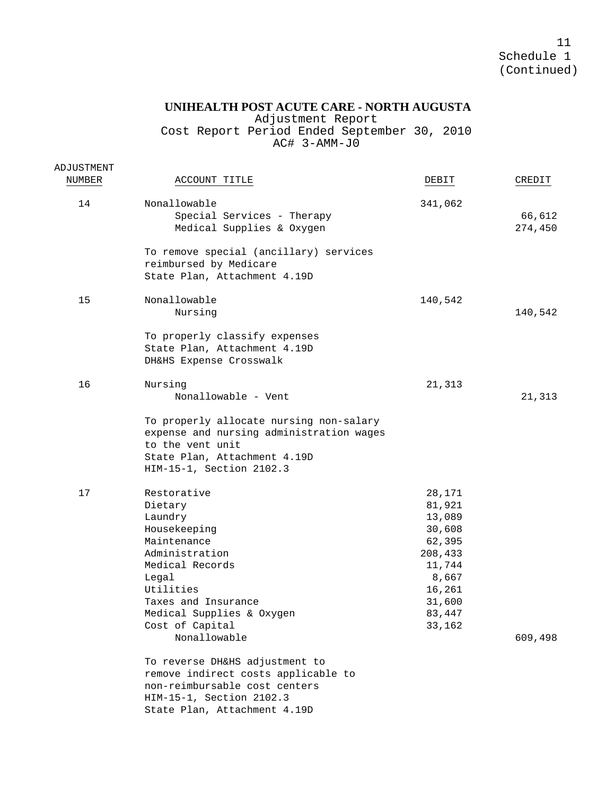## **UNIHEALTH POST ACUTE CARE - NORTH AUGUSTA**

Adjustment Report

Cost Report Period Ended September 30, 2010 AC# 3-AMM-J0

| ADJUSTMENT<br>NUMBER | ACCOUNT TITLE                                                                                                                                                                                                      | DEBIT                                                                                                                | CREDIT            |
|----------------------|--------------------------------------------------------------------------------------------------------------------------------------------------------------------------------------------------------------------|----------------------------------------------------------------------------------------------------------------------|-------------------|
|                      |                                                                                                                                                                                                                    |                                                                                                                      |                   |
| 14                   | Nonallowable<br>Special Services - Therapy<br>Medical Supplies & Oxygen                                                                                                                                            | 341,062                                                                                                              | 66,612<br>274,450 |
|                      | To remove special (ancillary) services<br>reimbursed by Medicare<br>State Plan, Attachment 4.19D                                                                                                                   |                                                                                                                      |                   |
| 15                   | Nonallowable<br>Nursing                                                                                                                                                                                            | 140,542                                                                                                              | 140,542           |
|                      | To properly classify expenses<br>State Plan, Attachment 4.19D<br>DH&HS Expense Crosswalk                                                                                                                           |                                                                                                                      |                   |
| 16                   | Nursing<br>Nonallowable - Vent                                                                                                                                                                                     | 21,313                                                                                                               | 21,313            |
|                      | To properly allocate nursing non-salary<br>expense and nursing administration wages<br>to the vent unit<br>State Plan, Attachment 4.19D<br>HIM-15-1, Section 2102.3                                                |                                                                                                                      |                   |
| 17                   | Restorative<br>Dietary<br>Laundry<br>Housekeeping<br>Maintenance<br>Administration<br>Medical Records<br>Legal<br>Utilities<br>Taxes and Insurance<br>Medical Supplies & Oxygen<br>Cost of Capital<br>Nonallowable | 28,171<br>81,921<br>13,089<br>30,608<br>62,395<br>208,433<br>11,744<br>8,667<br>16,261<br>31,600<br>83,447<br>33,162 | 609,498           |
|                      | To reverse DH&HS adjustment to<br>remove indirect costs applicable to<br>non-reimbursable cost centers<br>HIM-15-1, Section 2102.3<br>State Plan, Attachment 4.19D                                                 |                                                                                                                      |                   |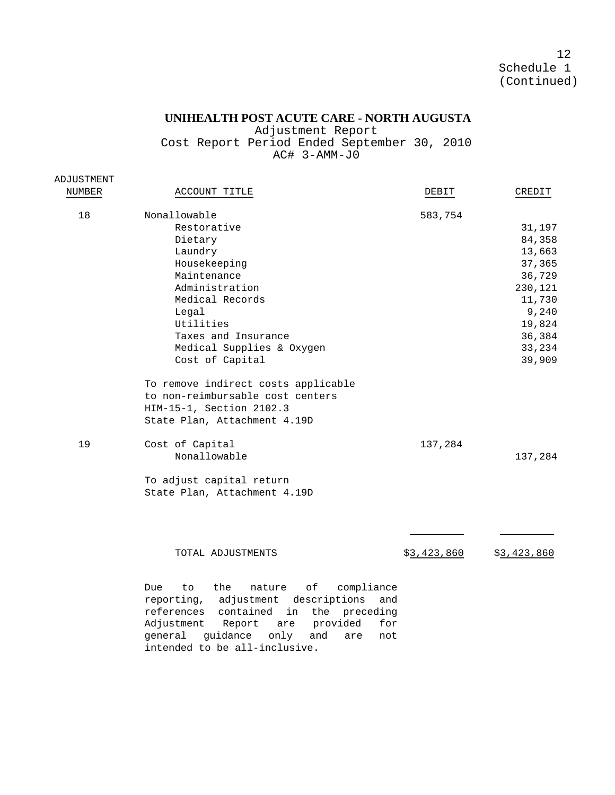#### **UNIHEALTH POST ACUTE CARE - NORTH AUGUSTA**

Adjustment Report Cost Report Period Ended September 30, 2010 AC#  $3 - AMM - J0$ 

| ADJUSTMENT |                                                  |             |
|------------|--------------------------------------------------|-------------|
| NUMBER     | ACCOUNT TITLE<br>DEBIT                           | CREDIT      |
| 18         | Nonallowable<br>583,754                          |             |
|            | Restorative                                      | 31,197      |
|            | Dietary                                          | 84,358      |
|            | Laundry                                          | 13,663      |
|            | Housekeeping                                     | 37,365      |
|            | Maintenance                                      | 36,729      |
|            | Administration                                   | 230,121     |
|            | Medical Records                                  | 11,730      |
|            | Legal                                            | 9,240       |
|            | Utilities                                        | 19,824      |
|            | Taxes and Insurance                              | 36,384      |
|            | Medical Supplies & Oxygen                        | 33,234      |
|            | Cost of Capital                                  | 39,909      |
|            |                                                  |             |
|            | To remove indirect costs applicable              |             |
|            | to non-reimbursable cost centers                 |             |
|            | HIM-15-1, Section 2102.3                         |             |
|            | State Plan, Attachment 4.19D                     |             |
|            |                                                  |             |
| 19         | Cost of Capital<br>137,284                       |             |
|            | Nonallowable                                     | 137,284     |
|            |                                                  |             |
|            | To adjust capital return                         |             |
|            | State Plan, Attachment 4.19D                     |             |
|            |                                                  |             |
|            |                                                  |             |
|            |                                                  |             |
|            |                                                  |             |
|            | \$3,423,860<br>TOTAL ADJUSTMENTS                 | \$3,423,860 |
|            |                                                  |             |
|            |                                                  |             |
|            | оf<br>compliance<br>Due.<br>to<br>the<br>nature  |             |
|            | reporting,<br>adjustment<br>descriptions<br>and  |             |
|            | references<br>contained<br>in<br>the preceding   |             |
|            | Adjustment<br>provided<br>Report<br>for<br>are   |             |
|            | general<br>quidance<br>only<br>and<br>are<br>not |             |

intended to be all-inclusive.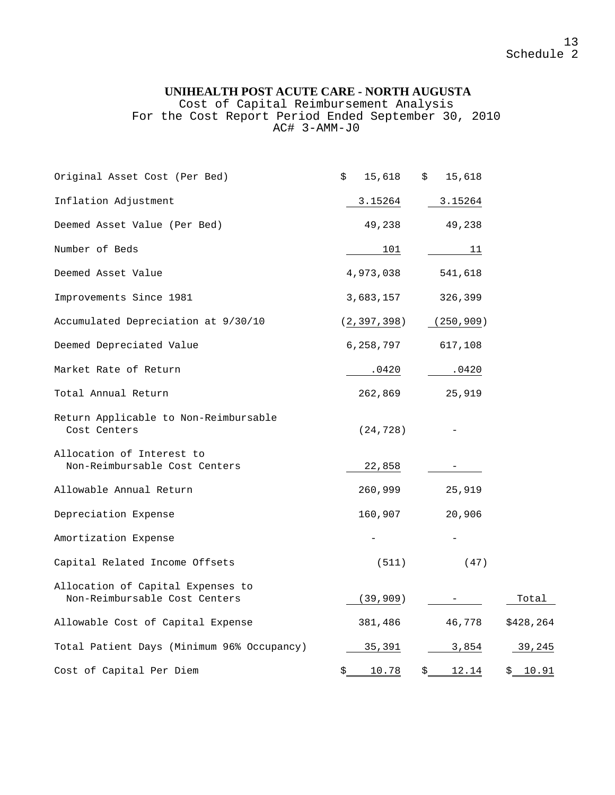Cost of Capital Reimbursement Analysis For the Cost Report Period Ended September 30, 2010 AC# 3-AMM-J0

| Original Asset Cost (Per Bed)                                      | \$<br>15,618        | 15,618<br>\$        |           |
|--------------------------------------------------------------------|---------------------|---------------------|-----------|
| Inflation Adjustment                                               | 3.15264             | 3.15264             |           |
| Deemed Asset Value (Per Bed)                                       | 49,238              | 49,238              |           |
| Number of Beds                                                     | 101                 | 11                  |           |
| Deemed Asset Value                                                 | 4,973,038           | 541,618             |           |
| Improvements Since 1981                                            | 3,683,157           | 326,399             |           |
| Accumulated Depreciation at 9/30/10                                | (2, 397, 398)       | (250, 909)          |           |
| Deemed Depreciated Value                                           | 6,258,797           | 617,108             |           |
| Market Rate of Return                                              | .0420               | .0420               |           |
| Total Annual Return                                                | 262,869             | 25,919              |           |
| Return Applicable to Non-Reimbursable<br>Cost Centers              | (24, 728)           |                     |           |
| Allocation of Interest to<br>Non-Reimbursable Cost Centers         | 22,858              |                     |           |
| Allowable Annual Return                                            | 260,999             | 25,919              |           |
| Depreciation Expense                                               | 160,907             | 20,906              |           |
| Amortization Expense                                               |                     |                     |           |
| Capital Related Income Offsets                                     | (511)               | (47)                |           |
| Allocation of Capital Expenses to<br>Non-Reimbursable Cost Centers | (39,909)            |                     | Total     |
| Allowable Cost of Capital Expense                                  | 381,486             | 46,778              | \$428,264 |
| Total Patient Days (Minimum 96% Occupancy)                         | 35,391              | 3,854               | 39,245    |
| Cost of Capital Per Diem                                           | $\frac{$}{5}$ 10.78 | $\frac{$}{2}$ 12.14 | \$10.91   |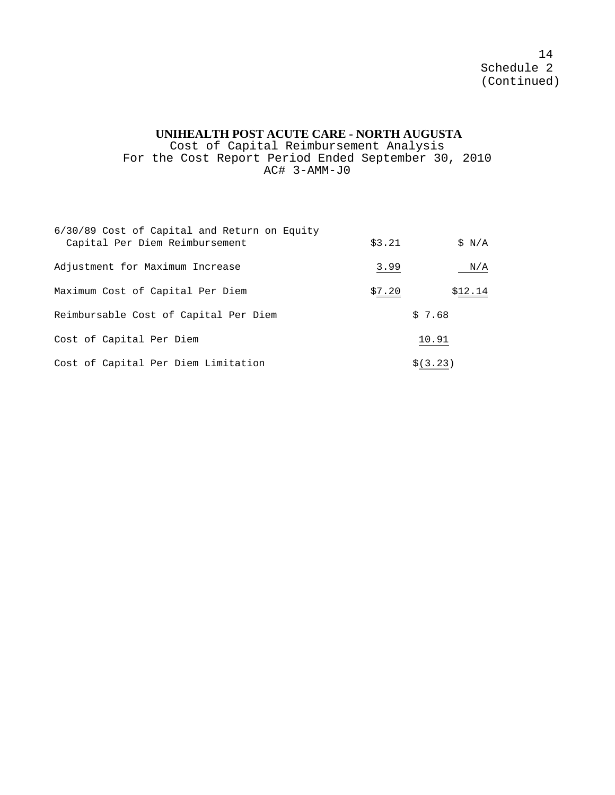#### **UNIHEALTH POST ACUTE CARE - NORTH AUGUSTA**

Cost of Capital Reimbursement Analysis For the Cost Report Period Ended September 30, 2010 AC# 3-AMM-J0

| 6/30/89 Cost of Capital and Return on Equity<br>Capital Per Diem Reimbursement | \$3.21 | SN/A    |
|--------------------------------------------------------------------------------|--------|---------|
| Adjustment for Maximum Increase                                                | 3.99   | N/A     |
| Maximum Cost of Capital Per Diem                                               | \$7.20 | \$12.14 |
| Reimbursable Cost of Capital Per Diem                                          | \$7.68 |         |
| Cost of Capital Per Diem                                                       | 10.91  |         |
| Cost of Capital Per Diem Limitation                                            |        | \$1, 23 |